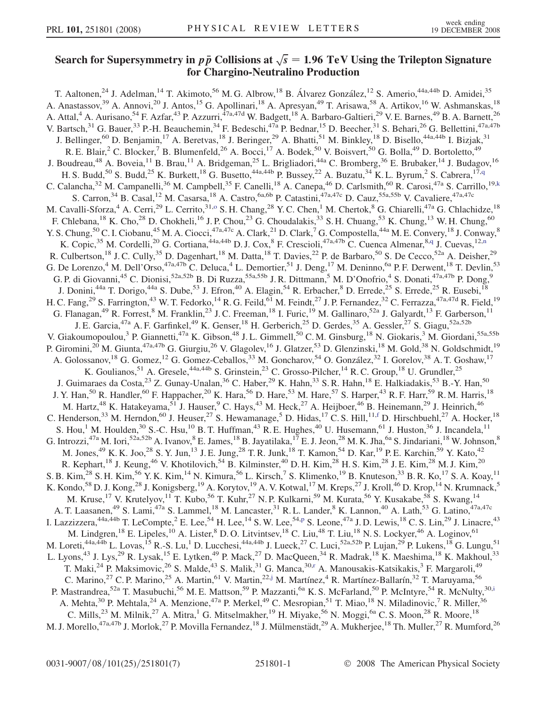## <span id="page-0-0"></span>Search for Supersymmetry in  $p\bar{p}$  Collisions at  $\sqrt{s} = 1.96$  TeV Using the Trilepton Signature for Chargino-Neutralino Production

T. Aaltonen,<sup>24</sup> J. Adelman,<sup>14</sup> T. Akimoto,<sup>56</sup> M. G. Albrow,<sup>18</sup> B. Álvarez González,<sup>12</sup> S. Amerio,<sup>44a,44b</sup> D. Amidei,<sup>35</sup> A. Anastassov,<sup>39</sup> A. Annovi,<sup>20</sup> J. Antos,<sup>15</sup> G. Apollinari,<sup>18</sup> A. Apresyan,<sup>49</sup> T. Arisawa,<sup>58</sup> A. Artikov,<sup>16</sup> W. Ashmanskas,<sup>18</sup> A. Attal,<sup>4</sup> A. Aurisano,<sup>54</sup> F. Azfar,<sup>43</sup> P. Azzurri,<sup>47a,47d</sup> W. Badgett,<sup>18</sup> A. Barbaro-Galtieri,<sup>29</sup> V. E. Barnes,<sup>49</sup> B. A. Barnett,<sup>26</sup> V. Bartsch,<sup>31</sup> G. Bauer,<sup>33</sup> P.-H. Beauchemin,<sup>34</sup> F. Bedeschi,<sup>47a</sup> P. Bednar,<sup>15</sup> D. Beecher,<sup>31</sup> S. Behari,<sup>26</sup> G. Bellettini,<sup>47a,47b</sup> J. Bellinger,<sup>60</sup> D. Benjamin,<sup>17</sup> A. Beretvas,<sup>18</sup> J. Beringer,<sup>29</sup> A. Bhatti,<sup>51</sup> M. Binkley,<sup>18</sup> D. Bisello,<sup>44a,44b</sup> I. Bizjak,<sup>31</sup> R. E. Blair,<sup>2</sup> C. Blocker,<sup>7</sup> B. Blumenfeld,<sup>26</sup> A. Bocci,<sup>17</sup> A. Bodek,<sup>50</sup> V. Boisvert,<sup>50</sup> G. Bolla,<sup>49</sup> D. Bortoletto,<sup>49</sup> J. Boudreau,<sup>48</sup> A. Boveia,<sup>11</sup> B. Brau,<sup>11</sup> A. Bridgeman,<sup>25</sup> L. Brigliadori,<sup>44a</sup> C. Bromberg,<sup>36</sup> E. Brubaker,<sup>14</sup> J. Budagov,<sup>16</sup> H. S. Budd,<sup>50</sup> S. Budd,<sup>25</sup> K. Burkett,<sup>18</sup> G. Busetto,<sup>44a,44b</sup> P. Bussey,<sup>22</sup> A. Buzatu,<sup>34</sup> K. L. Byrum,<sup>2</sup> S. Cabrera,<sup>17[,q](#page-6-0)</sup> C. Calancha,<sup>32</sup> M. Campanelli,<sup>36</sup> M. Campbell,<sup>35</sup> F. Canelli,<sup>18</sup> A. Canepa,<sup>46</sup> D. Carlsmith,<sup>60</sup> R. Carosi,<sup>47a</sup> S. Carrillo,<sup>19[,k](#page-6-0)</sup> S. Carron,<sup>34</sup> B. Casal,<sup>12</sup> M. Casarsa,<sup>18</sup> A. Castro,<sup>6a,6b</sup> P. Catastini,<sup>47a,47c</sup> D. Cauz,<sup>55a,55b</sup> V. Cavaliere,<sup>47a,47c</sup> M. Cavalli-Sforza,<sup>4</sup> A. Cerri,<sup>29</sup> L. Cerrito,<sup>31[,o](#page-6-0)</sup> S. H. Chang,<sup>28</sup> Y. C. Chen,<sup>1</sup> M. Chertok,<sup>8</sup> G. Chiarelli,<sup>47a</sup> G. Chlachidze,<sup>18</sup> F. Chlebana,<sup>18</sup> K. Cho,<sup>28</sup> D. Chokheli,<sup>16</sup> J. P. Chou,<sup>23</sup> G. Choudalakis,<sup>33</sup> S. H. Chuang,<sup>53</sup> K. Chung,<sup>13</sup> W. H. Chung,<sup>60</sup> Y. S. Chung, <sup>50</sup> C. I. Ciobanu, <sup>45</sup> M. A. Ciocci, <sup>47a, 47c</sup> A. Clark, <sup>21</sup> D. Clark, <sup>7</sup> G. Compostella, <sup>44a</sup> M. E. Convery, <sup>18</sup> J. Conway, <sup>8</sup> K. Copic,<sup>35</sup> M. Cordelli,<sup>20</sup> G. Cortiana,<sup>44a,44b</sup> D. J. Cox,<sup>8</sup> F. Crescioli,<sup>47a,47b</sup> C. Cuenca Almenar,<sup>8[,q](#page-6-0)</sup> J. Cuevas,<sup>12,[n](#page-6-0)</sup> R. Culbertson,<sup>18</sup> J. C. Cully,<sup>35</sup> D. Dagenhart,<sup>18</sup> M. Datta,<sup>18</sup> T. Davies,<sup>22</sup> P. de Barbaro,<sup>50</sup> S. De Cecco,<sup>52a</sup> A. Deisher,<sup>29</sup> G. De Lorenzo,<sup>4</sup> M. Dell'Orso,<sup>47a,47b</sup> C. Deluca,<sup>4</sup> L. Demortier,<sup>51</sup> J. Deng,<sup>17</sup> M. Deninno,<sup>6a</sup> P. F. Derwent,<sup>18</sup> T. Devlin,<sup>53</sup> G. P. di Giovanni,<sup>45</sup> C. Dionisi,<sup>52a,52b</sup> B. Di Ruzza,<sup>55a,55b</sup> J. R. Dittmann,<sup>5</sup> M. D'Onofrio,<sup>4</sup> S. Donati,<sup>47a,47b</sup> P. Dong,<sup>9</sup> J. Donini,<sup>44a</sup> T. Dorigo,<sup>44a</sup> S. Dube,<sup>53</sup> J. Efron,<sup>40</sup> A. Elagin,<sup>54</sup> R. Erbacher,<sup>8</sup> D. Errede,<sup>25</sup> S. Errede,<sup>25</sup> R. Eusebi,<sup>18</sup> H. C. Fang,<sup>29</sup> S. Farrington,<sup>43</sup> W. T. Fedorko,<sup>14</sup> R. G. Feild,<sup>61</sup> M. Feindt,<sup>27</sup> J. P. Fernandez,<sup>32</sup> C. Ferrazza,<sup>47a,47d</sup> R. Field,<sup>19</sup> G. Flanagan,<sup>49</sup> R. Forrest,<sup>8</sup> M. Franklin,<sup>23</sup> J. C. Freeman,<sup>18</sup> I. Furic,<sup>19</sup> M. Gallinaro,<sup>52a</sup> J. Galyardt,<sup>13</sup> F. Garberson,<sup>11</sup> J. E. Garcia,<sup>47a</sup> A. F. Garfinkel,<sup>49</sup> K. Genser,<sup>18</sup> H. Gerberich,<sup>25</sup> D. Gerdes,<sup>35</sup> A. Gessler,<sup>27</sup> S. Giagu,<sup>52a,52b</sup> V. Giakoumopoulou,<sup>3</sup> P. Giannetti,<sup>47a</sup> K. Gibson,<sup>48</sup> J.L. Gimmell,<sup>50</sup> C.M. Ginsburg,<sup>18</sup> N. Giokaris,<sup>3</sup> M. Giordani,<sup>55a,55b</sup> P. Giromini,<sup>20</sup> M. Giunta,<sup>47a,47b</sup> G. Giurgiu,<sup>26</sup> V. Glagolev,<sup>16</sup> J. Glatzer,<sup>53</sup> D. Glenzinski,<sup>18</sup> M. Gold,<sup>38</sup> N. Goldschmidt,<sup>19</sup> A. Golossanov,<sup>18</sup> G. Gomez,<sup>12</sup> G. Gomez-Ceballos,<sup>33</sup> M. Goncharov,<sup>54</sup> O. González,<sup>32</sup> I. Gorelov,<sup>38</sup> A. T. Goshaw,<sup>17</sup> K. Goulianos,<sup>51</sup> A. Gresele,<sup>44a,44b</sup> S. Grinstein,<sup>23</sup> C. Grosso-Pilcher,<sup>14</sup> R. C. Group,<sup>18</sup> U. Grundler,<sup>25</sup> J. Guimaraes da Costa,<sup>23</sup> Z. Gunay-Unalan,<sup>36</sup> C. Haber,<sup>29</sup> K. Hahn,<sup>33</sup> S. R. Hahn,<sup>18</sup> E. Halkiadakis,<sup>53</sup> B.-Y. Han,<sup>50</sup> J. Y. Han,<sup>50</sup> R. Handler,<sup>60</sup> F. Happacher,<sup>20</sup> K. Hara,<sup>56</sup> D. Hare,<sup>53</sup> M. Hare,<sup>57</sup> S. Harper,<sup>43</sup> R. F. Harr,<sup>59</sup> R. M. Harris,<sup>18</sup> M. Hartz,<sup>48</sup> K. Hatakeyama,<sup>51</sup> J. Hauser,<sup>9</sup> C. Hays,<sup>43</sup> M. Heck,<sup>27</sup> A. Heijboer,<sup>46</sup> B. Heinemann,<sup>29</sup> J. Heinrich,<sup>46</sup> C. Henderson,<sup>33</sup> M. Herndon,<sup>60</sup> J. Heuser,<sup>27</sup> S. Hewamanage,<sup>5</sup> D. Hidas,<sup>17</sup> C. S. Hill,<sup>11,[f](#page-6-0)</sup> D. Hirschbuehl,<sup>27</sup> A. Hocker,<sup>18</sup> S. Hou,<sup>1</sup> M. Houlden,<sup>30</sup> S.-C. Hsu,<sup>10</sup> B. T. Huffman,<sup>43</sup> R. E. Hughes,<sup>40</sup> U. Husemann,<sup>61</sup> J. Huston,<sup>36</sup> J. Incandela,<sup>11</sup> G. Introzzi,<sup>47a</sup> M. Iori,<sup>52a,52b</sup> A. Ivanov, <sup>8</sup> E. James, <sup>18</sup> B. Jayatilaka, <sup>17</sup> E. J. Jeon, <sup>28</sup> M. K. Jha, <sup>6a</sup> S. Jindariani, <sup>18</sup> W. Johnson, <sup>8</sup> M. Jones,<sup>49</sup> K. K. Joo,<sup>28</sup> S. Y. Jun,<sup>13</sup> J. E. Jung,<sup>28</sup> T. R. Junk,<sup>18</sup> T. Kamon,<sup>54</sup> D. Kar,<sup>19</sup> P. E. Karchin,<sup>59</sup> Y. Kato,<sup>42</sup> R. Kephart,<sup>18</sup> J. Keung,<sup>46</sup> V. Khotilovich,<sup>54</sup> B. Kilminster,<sup>40</sup> D. H. Kim,<sup>28</sup> H. S. Kim,<sup>28</sup> J. E. Kim,<sup>28</sup> M. J. Kim,<sup>20</sup> S. B. Kim,  $^{28}$  S. H. Kim,  $^{56}$  Y. K. Kim,  $^{14}$  N. Kimura,  $^{56}$  L. Kirsch,  $^7$  S. Klimenko,  $^{19}$  B. Knuteson,  $^{33}$  B. R. Ko,  $^{17}$  S. A. Koay,  $^{11}$ K. Kondo,<sup>58</sup> D. J. Kong,<sup>28</sup> J. Konigsberg,<sup>19</sup> A. Korytov,<sup>19</sup> A. V. Kotwal,<sup>17</sup> M. Kreps,<sup>27</sup> J. Kroll,<sup>46</sup> D. Krop,<sup>14</sup> N. Krumnack,<sup>5</sup> M. Kruse,<sup>17</sup> V. Krutelyov,<sup>11</sup> T. Kubo,<sup>56</sup> T. Kuhr,<sup>27</sup> N. P. Kulkarni,<sup>59</sup> M. Kurata,<sup>56</sup> Y. Kusakabe,<sup>58</sup> S. Kwang,<sup>14</sup> A. T. Laasanen,<sup>49</sup> S. Lami,<sup>47a</sup> S. Lammel,<sup>18</sup> M. Lancaster,<sup>31</sup> R. L. Lander,<sup>8</sup> K. Lannon,<sup>40</sup> A. Lath,<sup>53</sup> G. Latino,<sup>47a,47c</sup> I. Lazzizzera,<sup>44a,44b</sup> T. LeCompte,<sup>2</sup> E. Lee,<sup>54</sup> H. Lee,<sup>14</sup> S. W. Lee,<sup>54[,p](#page-6-0)</sup> S. Leone,<sup>47a</sup> J. D. Lewis,<sup>18</sup> C. S. Lin,<sup>29</sup> J. Linacre,<sup>43</sup> M. Lindgren,<sup>18</sup> E. Lipeles,<sup>10</sup> A. Lister,<sup>8</sup> D. O. Litvintsev,<sup>18</sup> C. Liu,<sup>48</sup> T. Liu,<sup>18</sup> N. S. Lockyer,<sup>46</sup> A. Loginov,<sup>61</sup> M. Loreti,<sup>44a,44b</sup> L. Lovas,<sup>15</sup> R.-S. Lu,<sup>1</sup> D. Lucchesi,<sup>44a,44b</sup> J. Lueck,<sup>27</sup> C. Luci,<sup>52a,52b</sup> P. Lujan,<sup>29</sup> P. Lukens,<sup>18</sup> G. Lungu,<sup>51</sup> L. Lyons,<sup>43</sup> J. Lys,<sup>29</sup> R. Lysak,<sup>15</sup> E. Lytken,<sup>49</sup> P. Mack,<sup>27</sup> D. MacQueen,<sup>34</sup> R. Madrak,<sup>18</sup> K. Maeshima,<sup>18</sup> K. Makhoul,<sup>33</sup> T. Maki,<sup>24</sup> P. Maksimovic,<sup>26</sup> S. Malde,<sup>43</sup> S. Malik,<sup>31</sup> G. Manca,<sup>30,[r](#page-6-0)</sup> A. Manousakis-Katsikakis,<sup>3</sup> F. Margaroli,<sup>49</sup> C. Marino,<sup>27</sup> C. P. Marino,<sup>25</sup> A. Martin,<sup>61</sup> V. Martin,<sup>22[,j](#page-6-0)</sup> M. Martínez,<sup>4</sup> R. Martínez-Ballarín,<sup>32</sup> T. Maruyama,<sup>56</sup> P. Mastrandrea,<sup>52a</sup> T. Masubuchi,<sup>56</sup> M. E. Mattson,<sup>59</sup> P. Mazzanti,<sup>6a</sup> K. S. McFarland,<sup>50</sup> P. McIntyre,<sup>54</sup> R. McNulty,<sup>30[,i](#page-6-0)</sup> A. Mehta,<sup>30</sup> P. Mehtala,<sup>24</sup> A. Menzione,<sup>47a</sup> P. Merkel,<sup>49</sup> C. Mesropian,<sup>51</sup> T. Miao,<sup>18</sup> N. Miladinovic,<sup>7</sup> R. Miller,<sup>36</sup> A. Mehta,<sup>30</sup> P. Mehtala,<sup>24</sup> A. Menzione,<sup>47a</sup> P. Merkel,<sup>49</sup> C. Mesropian,<sup>51</sup> T. Miao,<sup>18</sup> N. Miladinovic,<sup>7</sup> R. Miller,<sup>36</sup> C. Mills,<sup>23</sup> M. Milnik,<sup>27</sup> A. Mitra,<sup>1</sup> G. Mitselmakher,<sup>19</sup> H. Miyake,<sup>56</sup> N. Moggi,<sup>6a</sup> C M. J. Morello,<sup>47a,47b</sup> J. Morlok,<sup>27</sup> P. Movilla Fernandez,<sup>18</sup> J. Mülmenstädt,<sup>29</sup> A. Mukherjee,<sup>18</sup> Th. Muller,<sup>27</sup> R. Mumford,<sup>26</sup>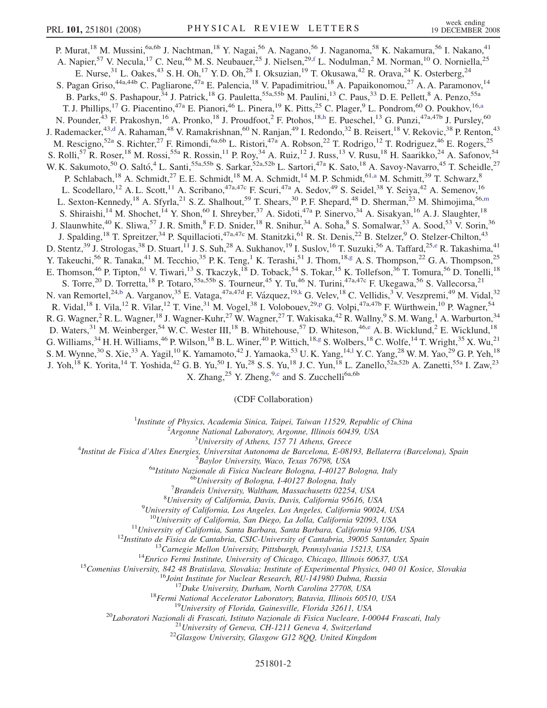<span id="page-1-0"></span>P. Murat,<sup>18</sup> M. Mussini,<sup>6a,6b</sup> J. Nachtman,<sup>18</sup> Y. Nagai,<sup>56</sup> A. Nagano,<sup>56</sup> J. Naganoma,<sup>58</sup> K. Nakamura,<sup>56</sup> I. Nakano,<sup>41</sup> A. Napier,<sup>57</sup> V. Necula,<sup>17</sup> C. Neu,<sup>46</sup> M. S. Neubauer,<sup>25</sup> J. Nielsen,<sup>29,[f](#page-6-0)</sup> L. Nodulman,<sup>2</sup> M. Norman,<sup>10</sup> O. Norniella,<sup>25</sup> E. Nurse,  $31$  L. Oakes,  $43$  S. H. Oh,  $17$  Y. D. Oh,  $28$  I. Oksuzian,  $19$  T. Okusawa,  $42$  R. Orava,  $24$  K. Osterberg,  $24$ S. Pagan Griso,<sup>44a,44b</sup> C. Pagliarone,<sup>47a</sup> E. Palencia,<sup>18</sup> V. Papadimitriou,<sup>18</sup> A. Papaikonomou,<sup>27</sup> A. A. Paramonov,<sup>14</sup> B. Parks,<sup>40</sup> S. Pashapour,<sup>34</sup> J. Patrick,<sup>18</sup> G. Pauletta,<sup>55a,55b</sup> M. Paulini,<sup>13</sup> C. Paus,<sup>33</sup> D. E. Pellett,<sup>8</sup> A. Penzo,<sup>55a</sup> T. J. Phillips,<sup>17</sup> G. Piacentino,<sup>47a</sup> E. Pianori,<sup>46</sup> L. Pinera,<sup>19</sup> K. Pitts,<sup>25</sup> C. Plager,<sup>9</sup> L. Pondrom,<sup>60</sup> O. Poukhov,<sup>16[,a](#page-6-0)</sup> N. Pounder,<sup>43</sup> F. Prakoshyn,<sup>16</sup> A. Pronko,<sup>18</sup> J. Proudfoot,<sup>2</sup> F. Ptohos,<sup>18[,h](#page-6-0)</sup> E. Pueschel,<sup>13</sup> G. Punzi,<sup>47a,47b</sup> J. Pursley,<sup>60</sup> J. Ra[d](#page-6-0)emacker,<sup>43,d</sup> A. Rahaman,<sup>48</sup> V. Ramakrishnan,<sup>60</sup> N. Ranjan,<sup>49</sup> I. Redondo,<sup>32</sup> B. Reisert,<sup>18</sup> V. Rekovic,<sup>38</sup> P. Renton,<sup>43</sup> M. Rescigno,<sup>52a</sup> S. Richter,<sup>27</sup> F. Rimondi,<sup>6a,6b</sup> L. Ristori,<sup>47a</sup> A. Robson,<sup>22</sup> T. Rodrigo,<sup>12</sup> T. Rodriguez,<sup>46</sup> E. Rogers,<sup>25</sup> S. Rolli,<sup>57</sup> R. Roser,<sup>18</sup> M. Rossi,<sup>55a</sup> R. Rossin,<sup>11</sup> P. Roy,<sup>34</sup> A. Ruiz,<sup>12</sup> J. Russ,<sup>13</sup> V. Rusu,<sup>18</sup> H. Saarikko,<sup>24</sup> A. Safonov,<sup>54</sup> W. K. Sakumoto,<sup>50</sup> O. Saltó,<sup>4</sup> L. Santi,<sup>55a,55b</sup> S. Sarkar,<sup>52a,52b</sup> L. Sartori,<sup>47a</sup> K. Sato,<sup>18</sup> A. Savoy-Navarro,<sup>45</sup> T. Scheidle,<sup>27</sup> P. Schlabach,<sup>18</sup> A. Schmidt,<sup>27</sup> E. E. Schmidt,<sup>18</sup> M. A. Schmidt,<sup>14</sup> M. P. Schmidt,<sup>61[,a](#page-6-0)</sup> M. Schmitt,<sup>39</sup> T. Schwarz,<sup>8</sup> L. Scodellaro,<sup>12</sup> A. L. Scott,<sup>11</sup> A. Scribano,<sup>47a,47c</sup> F. Scuri,<sup>47a</sup> A. Sedov,<sup>49</sup> S. Seidel,<sup>38</sup> Y. Seiya,<sup>42</sup> A. Semenov,<sup>16</sup> L. Sexton-Kennedy,<sup>18</sup> A. Sfyrla,<sup>21</sup> S. Z. Shalhout,<sup>59</sup> T. Shears,<sup>30</sup> P. F. Shepard,<sup>48</sup> D. Sher[m](#page-6-0)an,<sup>23</sup> M. Shimojima,<sup>56,m</sup> S. Shiraishi,<sup>14</sup> M. Shochet,<sup>14</sup> Y. Shon,<sup>60</sup> I. Shreyber,<sup>37</sup> A. Sidoti,<sup>47a</sup> P. Sinervo,<sup>34</sup> A. Sisakyan,<sup>16</sup> A. J. Slaughter,<sup>18</sup> J. Slaunwhite,<sup>40</sup> K. Sliwa,<sup>57</sup> J. R. Smith,<sup>8</sup> F. D. Snider,<sup>18</sup> R. Snihur,<sup>34</sup> A. Soha,<sup>8</sup> S. Somalwar,<sup>53</sup> A. Sood,<sup>53</sup> V. Sorin,<sup>36</sup> J. Spalding,<sup>18</sup> T. Spreitzer,<sup>34</sup> P. Squillacioti,<sup>47a,47c</sup> M. Stanitzki,<sup>61</sup> R. St. Denis,<sup>22</sup> B. Stelzer,<sup>9</sup> O. Stelzer-Chilton,<sup>43</sup> D. Stentz,<sup>39</sup> J. Strologas,<sup>38</sup> D. Stuart,<sup>11</sup> J. S. Suh,<sup>28</sup> A. Sukhanov,<sup>19</sup> I. Suslov,<sup>16</sup> T. Suzuki,<sup>56</sup> A. Taffard,<sup>25[,e](#page-6-0)</sup> R. Takashima,<sup>41</sup> Y. Takeuchi,<sup>56</sup> R. Tanaka,<sup>41</sup> M. Tecchio,<sup>35</sup> P. K. Teng,<sup>1</sup> K. Terashi,<sup>51</sup> J. Thom,<sup>18[,g](#page-6-0)</sup> A. S. Thompson,<sup>22</sup> G. A. Thompson,<sup>25</sup> E. Thomson,<sup>46</sup> P. Tipton,<sup>61</sup> V. Tiwari,<sup>13</sup> S. Tkaczyk,<sup>18</sup> D. Toback,<sup>54</sup> S. Tokar,<sup>15</sup> K. Tollefson,<sup>36</sup> T. Tomura,<sup>56</sup> D. Tonelli,<sup>18</sup> S. Torre,<sup>20</sup> D. Torretta,<sup>18</sup> P. Totaro,<sup>55a,55b</sup> S. Tourneur,<sup>45</sup> Y. Tu,<sup>46</sup> N. Turini,<sup>47a,47c</sup> F. Ukegawa,<sup>56</sup> S. Vallecorsa,<sup>21</sup> N. van Remortel,<sup>24,[b](#page-6-0)</sup> A. Varganov,<sup>35</sup> E. Vataga,<sup>47a,47d</sup> F. Vázquez,<sup>19[,k](#page-6-0)</sup> G. Velev,<sup>18</sup> C. Vellidis,<sup>3</sup> V. Veszpremi,<sup>49</sup> M. Vidal,<sup>32</sup> R. Vidal,<su[p](#page-6-0)>18</sup> I. Vila,<sup>12</sup> R. Vilar,<sup>12</sup> T. Vine,<sup>31</sup> M. Vogel,<sup>38</sup> I. Volobouev,<sup>29,p</sup> G. Volpi,<sup>47a,47b</sup> F. Würthwein,<sup>10</sup> P. Wagner,<sup>54</sup> R. G. Wagner,<sup>2</sup> R. L. Wagner,<sup>18</sup> J. Wagner-Kuhr,<sup>27</sup> W. Wagner,<sup>27</sup> T. Wakisaka,<sup>42</sup> R. Wallny,<sup>9</sup> S. M. Wang,<sup>1</sup> A. Warburton,<sup>34</sup> D. Waters,<sup>31</sup> M. Weinberger,<sup>54</sup> W. C. Wester III,<sup>18</sup> B. Whitehouse,<sup>57</sup> D. Whiteson,<sup>46[,e](#page-6-0)</sup> A. B. Wicklund,<sup>2</sup> E. Wicklund,<sup>18</sup> G. Williams, <sup>34</sup> H. H. Williams, <sup>46</sup> P. Wilson, <sup>18</sup> B. L. Winer, <sup>40</sup> P. Wittich, <sup>18,[g](#page-6-0)</sup> S. Wolbers, <sup>18</sup> C. Wolfe, <sup>14</sup> T. Wright, <sup>35</sup> X. Wu, <sup>21</sup> S. M. Wynne,<sup>30</sup> S. Xie,<sup>33</sup> A. Yagi[l](#page-6-0),<sup>10</sup> K. Yamamoto,<sup>42</sup> J. Yamaoka,<sup>53</sup> U.K. Yang,<sup>14,1</sup> Y.C. Yang,<sup>28</sup> W.M. Yao,<sup>29</sup> G.P. Yeh,<sup>18</sup> J. Yoh,<sup>18</sup> K. Yorita,<sup>14</sup> T. Yoshida,<sup>42</sup> G. B. Yu,<sup>50</sup> I. Yu,<sup>28</sup> S. S. Yu,<sup>18</sup> J. C. Yun,<sup>18</sup> L. Zanello,<sup>52a,52b</sup> A. Zanetti,<sup>55a</sup> I. Zaw,<sup>23</sup> X. Zhang,<sup>25</sup> Y. Zheng,<sup>9,[c](#page-6-0)</sup> and S. Zucchelli<sup>6a,6b</sup>

(CDF Collaboration)

<sup>1</sup>Institute of Physics, Academia Sinica, Taipei, Taiwan 11529, Republic of China<br><sup>2</sup>Argonna National Laboratory, Argonna Illinois 60430, USA

 $A$ rgonne National Laboratory, Argonne, Illinois 60439, USA<br> $3$ University of Athens, 157 71 Athens, Greece

<sup>5</sup> University of Athens, 157 71 Athens, Greece  $\frac{3}{4}$  University of Athens, 157 71 Athens, Greece

Institut de Fisica d'Altes Energies, Universitat Autonoma de Barcelona, E-08193, Bellaterra (Barcelona), Spain <sup>5</sup>

 $^{5}$ Baylor University, Waco, Texas 76798, USA<br><sup>6a</sup>Istituto Nazionale di Fisica Nucleare Bologna, I-40127 Bologna, Italy <sup>6b</sup>University of Bologna, I-40127 Bologna, Italy

 ${}^{7}$ Brandeis University, Waltham, Massachusetts 02254, USA

 ${}^{8}$ University of California, Davis, Davis, California 95616, USA

 $^{9}$ University of California, Los Angeles, Los Angeles, California 90024, USA

<sup>10</sup>University of California, San Diego, La Jolla, California 92093, USA<br>
<sup>11</sup>University of California, Santa Barbara, Santa Barbara, California 93106, USA<br>
<sup>12</sup>Instituto de Fisica de Cantabria, CSIC-University of Cantabr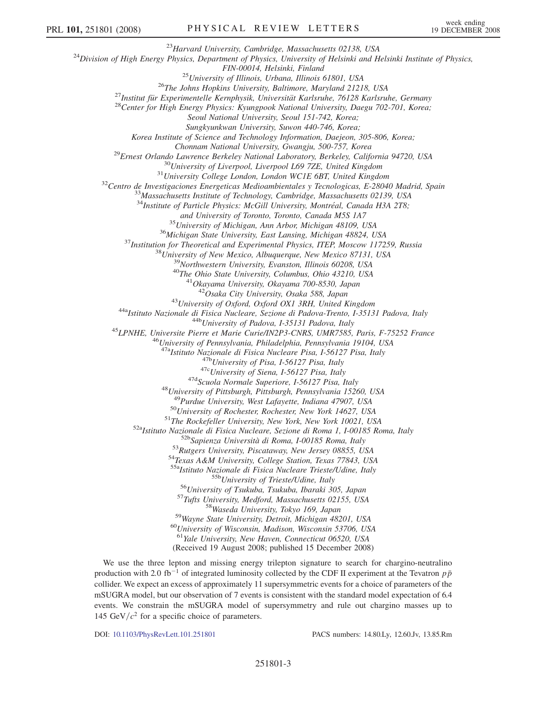<sup>23</sup>Harvard University, Cambridge, Massachusetts 02138, USA<br><sup>24</sup>Division of High Energy Physics, Department of Physics, University of Helsinki and Helsinki Institute of Physics,

FIN-00014, Helsinki, Finland<br><sup>25</sup> University of Illinois, Urbana, Illinois 61801, USA<br><sup>26</sup> The Johns Hopkins University, Baltimore, Maryland 21218, USA<br><sup>27</sup> Institut für Experimentelle Kernphysik, Universität Karlsruhe, 76

Seoul National University, Seoul 151-742, Korea;

Sungkyunkwan University, Suwon 440-746, Korea;

Korea Institute of Science and Technology Information, Daejeon, 305-806, Korea;

<sup>29</sup>Ernest Orlando Lawrence Berkeley National Laboratory, Berkeley, California 94720, USA<br><sup>30</sup>University of Liverpool, Liverpool L69 7ZE, United Kingdom<br><sup>31</sup>University College London, London WCIE 6BT, United Kingdom<br><sup>32</sup>C

 $34$ Institute of Particle Physics: McGill University, Montréal, Canada H3A 2T8;

and University of Toronto, Toronto, Canada M5S 1A7<br><sup>35</sup>University of Michigan, Ann Arbor, Michigan 48109, USA<br><sup>36</sup>Michigan State University, East Lansing, Michigan 48824, USA<br><sup>37</sup>Institution for Theoretical and Experimenta

<sup>43</sup>University of Oxford, Oxford OX1 3RH, United Kingdom<br><sup>44a</sup>Istituto Nazionale di Fisica Nucleare, Sezione di Padova-Trento, I-35131 Padova, Italy<br><sup>44b</sup>University of Padova, I-35131 Padova, Italy<br><sup>45</sup>LPNHE, Universite P

<sup>47a</sup>Istituto Nazionale di Fisica Nucleare Pisa, I-56127 Pisa, Italy<br><sup>47b</sup>University of Pisa, I-56127 Pisa, Italy<br><sup>47c</sup>University of Siena, I-56127 Pisa, Italy<br><sup>47d</sup>Scuola Normale Superiore, I-56127 Pisa, Italy<br><sup>48</sup>Univer

<sup>50</sup>University of Rochester, Rochester, New York 14627, USA<br><sup>51</sup>The Rockefeller University, New York, New York 10021, USA<br><sup>52a</sup>Istituto Nazionale di Fisica Nucleare, Sezione di Roma 1, I-00185 Roma, Italy<br><sup>52b</sup>Sapienza Un

<sup>55b</sup>University of Trieste/Udine, Italy<br><sup>56</sup>University of Tsukuba, Tsukuba, Ibaraki 305, Japan<br><sup>57</sup>Tufts University, Medford, Massachusetts 02155, USA<br><sup>58</sup>Wayne State University, Tokyo 169, Japan<br><sup>59</sup>Wayne State Universit

<sup>61</sup>Yale University, New Haven, Connecticut 06520, USA

(Received 19 August 2008; published 15 December 2008)

We use the three lepton and missing energy trilepton signature to search for chargino-neutralino production with 2.0 fb<sup>-1</sup> of integrated luminosity collected by the CDF II experiment at the Tevatron  $p\bar{p}$ collider. We expect an excess of approximately 11 supersymmetric events for a choice of parameters of the mSUGRA model, but our observation of 7 events is consistent with the standard model expectation of 6.4 events. We constrain the mSUGRA model of supersymmetry and rule out chargino masses up to 145 GeV/ $c^2$  for a specific choice of parameters.

DOI: [10.1103/PhysRevLett.101.251801](http://dx.doi.org/10.1103/PhysRevLett.101.251801) PACS numbers: 14.80.Ly, 12.60.Jv, 13.85.Rm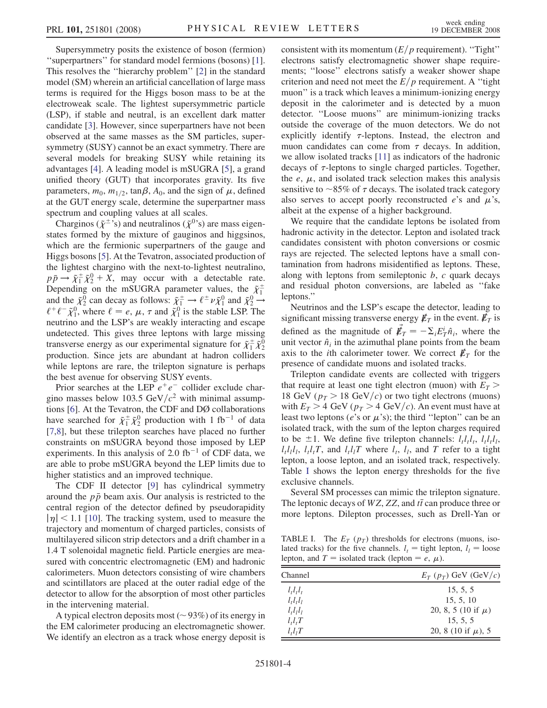Supersymmetry posits the existence of boson (fermion) ''superpartners'' for standard model fermions (bosons) [[1\]](#page-6-0). This resolves the ''hierarchy problem'' [[2](#page-6-0)] in the standard model (SM) wherein an artificial cancellation of large mass terms is required for the Higgs boson mass to be at the electroweak scale. The lightest supersymmetric particle (LSP), if stable and neutral, is an excellent dark matter candidate [\[3\]](#page-6-0). However, since superpartners have not been observed at the same masses as the SM particles, supersymmetry (SUSY) cannot be an exact symmetry. There are several models for breaking SUSY while retaining its advantages [[4\]](#page-6-0). A leading model is mSUGRA [[5\]](#page-6-0), a grand unified theory (GUT) that incorporates gravity. Its five parameters,  $m_0$ ,  $m_{1/2}$ , tan $\beta$ ,  $A_0$ , and the sign of  $\mu$ , defined at the GUT energy scale, determine the superpartner mass spectrum and coupling values at all scales.

Charginos ( $\tilde{\chi}^{\pm}$ 's) and neutralinos ( $\tilde{\chi}^{0}$ 's) are mass eigenstates formed by the mixture of gauginos and higgsinos, which are the fermionic superpartners of the gauge and Higgs bosons [\[5\]](#page-6-0). At the Tevatron, associated production of the lightest chargino with the next-to-lightest neutralino,  $p\bar{p} \rightarrow \tilde{\chi}_1^{\pm} \tilde{\chi}_2^0 + X$ , may occur with a detectable rate. Depending on the mSUGRA parameter values, the  $\tilde{\chi}^{\pm}_1$ and the  $\tilde{\chi}_2^0$  can decay as follows:  $\tilde{\chi}_1^{\pm} \to \ell^{\pm} \nu \tilde{\chi}_1^0$  and  $\tilde{\chi}_2^0 \to$  $\ell^+ \ell^- \tilde{\chi}_1^0$ , where  $\ell = e, \mu, \tau$  and  $\tilde{\chi}_1^0$  is the stable LSP. The neutrino and the LSP's are weakly interacting and escape undetected. This gives three leptons with large missing transverse energy as our experimental signature for  $\tilde{\chi}_1^{\pm} \tilde{\chi}_2^0$ production. Since jets are abundant at hadron colliders while leptons are rare, the trilepton signature is perhaps the best avenue for observing SUSY events.

Prior searches at the LEP  $e^+e^-$  collider exclude chargino masses below 103.5 GeV/ $c^2$  with minimal assumptions [[6\]](#page-6-0). At the Tevatron, the CDF and DØ collaborations have searched for  $\tilde{\chi}_1^{\pm} \tilde{\chi}_2^0$  production with 1 fb<sup>-1</sup> of data [\[7,8](#page-6-0)], but these trilepton searches have placed no further constraints on mSUGRA beyond those imposed by LEP experiments. In this analysis of 2.0 fb<sup>-1</sup> of CDF data, we are able to probe mSUGRA beyond the LEP limits due to higher statistics and an improved technique.

The CDF II detector [[9\]](#page-6-0) has cylindrical symmetry around the  $p\bar{p}$  beam axis. Our analysis is restricted to the central region of the detector defined by pseudorapidity  $|\eta|$  < 1.1 [[10](#page-6-0)]. The tracking system, used to measure the trajectory and momentum of charged particles, consists of multilayered silicon strip detectors and a drift chamber in a 1.4 T solenoidal magnetic field. Particle energies are measured with concentric electromagnetic (EM) and hadronic calorimeters. Muon detectors consisting of wire chambers and scintillators are placed at the outer radial edge of the detector to allow for the absorption of most other particles in the intervening material.

A typical electron deposits most ( $\sim$  93%) of its energy in the EM calorimeter producing an electromagnetic shower. We identify an electron as a track whose energy deposit is consistent with its momentum  $(E/p \text{ requirement})$ . "Tight" electrons satisfy electromagnetic shower shape requirements; ''loose'' electrons satisfy a weaker shower shape criterion and need not meet the  $E/p$  requirement. A "tight" muon'' is a track which leaves a minimum-ionizing energy deposit in the calorimeter and is detected by a muon detector. ''Loose muons'' are minimum-ionizing tracks outside the coverage of the muon detectors. We do not explicitly identify  $\tau$ -leptons. Instead, the electron and muon candidates can come from  $\tau$  decays. In addition, we allow isolated tracks [\[11\]](#page-6-0) as indicators of the hadronic decays of  $\tau$ -leptons to single charged particles. Together, the  $e$ ,  $\mu$ , and isolated track selection makes this analysis sensitive to  $\sim$ 85% of  $\tau$  decays. The isolated track category also serves to accept poorly reconstructed  $e$ 's and  $\mu$ 's, albeit at the expense of a higher background.

We require that the candidate leptons be isolated from hadronic activity in the detector. Lepton and isolated track candidates consistent with photon conversions or cosmic rays are rejected. The selected leptons have a small contamination from hadrons misidentified as leptons. These, along with leptons from semileptonic  $b$ ,  $c$  quark decays and residual photon conversions, are labeled as ''fake leptons.''

Neutrinos and the LSP's escape the detector, leading to significant missing transverse energy  $E_T$  in the event.  $E_T$  is defined as the magnitude of  $\vec{\mathbf{E}}_T = -\Sigma_i E_T^i \hat{n}_i$ , where the unit vector  $\hat{n}_i$  in the azimuthal plane points from the beam axis to the *i*th calorimeter tower. We correct  $\not\mathbf{E}_T$  for the presence of candidate muons and isolated tracks.

Trilepton candidate events are collected with triggers that require at least one tight electron (muon) with  $E_T$ 18 GeV ( $p_T > 18$  GeV/c) or two tight electrons (muons) with  $E_T > 4$  GeV ( $p_T > 4$  GeV/c). An event must have at least two leptons (*e*'s or  $\mu$ 's); the third "lepton" can be an isolated track, with the sum of the lepton charges required to be  $\pm 1$ . We define five trilepton channels:  $l_t l_t l_t$ ,  $l_t l_t l_t$ ,  $l_t l_l l_l$ ,  $l_t l_t T$ , and  $l_t l_l T$  where  $l_t$ ,  $l_l$ , and T refer to a tight lepton, a loose lepton, and an isolated track, respectively. Table I shows the lepton energy thresholds for the five exclusive channels.

Several SM processes can mimic the trilepton signature. The leptonic decays of  $WZ$ , ZZ, and  $t\bar{t}$  can produce three or more leptons. Dilepton processes, such as Drell-Yan or

TABLE I. The  $E_T$  ( $p_T$ ) thresholds for electrons (muons, isolated tracks) for the five channels.  $l_t$  = tight lepton,  $l_l$  = loose lepton, and  $T =$  isolated track (lepton  $= e, \mu$ ).

| Channel                         | $E_T(p_T)$ GeV (GeV/c)  |  |  |  |
|---------------------------------|-------------------------|--|--|--|
| $ltltlt$                        | 15, 5, 5                |  |  |  |
| $ltltlt$                        | 15, 5, 10               |  |  |  |
| $ltltlt$                        | 20, 8, 5 (10 if $\mu$ ) |  |  |  |
| $l_t l_t T$                     | 15, 5, 5                |  |  |  |
| l <sub>t</sub> l <sub>t</sub> T | 20, 8 (10 if $\mu$ ), 5 |  |  |  |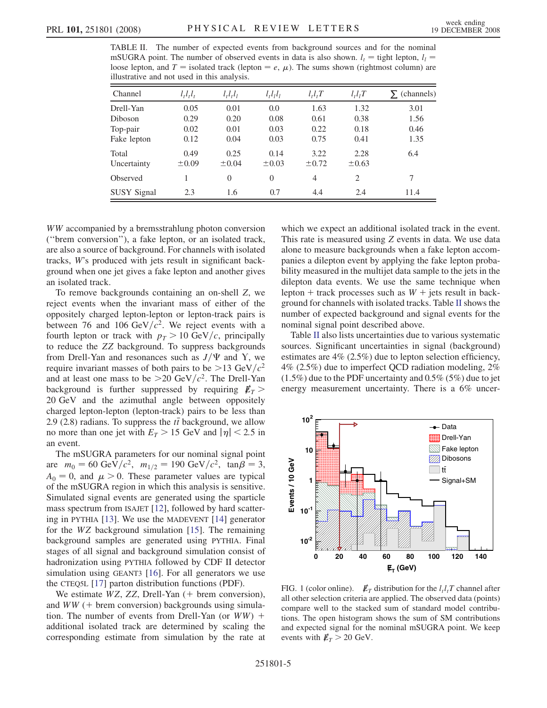<span id="page-4-0"></span>TABLE II. The number of expected events from background sources and for the nominal mSUGRA point. The number of observed events in data is also shown.  $l_t$  = tight lepton,  $l_l$  = loose lepton, and  $T =$  isolated track (lepton  $= e, \mu$ ). The sums shown (rightmost column) are illustrative and not used in this analysis.

| Channel            | $l_t l_t l_t$ | $l_t l_t l_l$ | $l_l l_l l_l$ | $l_t l_t T$ | $l_t l_l T$ | (channels) |
|--------------------|---------------|---------------|---------------|-------------|-------------|------------|
| Drell-Yan          | 0.05          | 0.01          | 0.0           | 1.63        | 1.32        | 3.01       |
| Diboson            | 0.29          | 0.20          | 0.08          | 0.61        | 0.38        | 1.56       |
| Top-pair           | 0.02          | 0.01          | 0.03          | 0.22        | 0.18        | 0.46       |
| Fake lepton        | 0.12          | 0.04          | 0.03          | 0.75        | 0.41        | 1.35       |
| Total              | 0.49          | 0.25          | 0.14          | 3.22        | 2.28        | 6.4        |
| Uncertainty        | $\pm 0.09$    | $\pm 0.04$    | $\pm 0.03$    | $\pm 0.72$  | $\pm 0.63$  |            |
| Observed           |               | $\Omega$      | $\Omega$      | 4           | 2           | 7          |
| <b>SUSY Signal</b> | 2.3           | 1.6           | 0.7           | 4.4         | 2.4         | 11.4       |

WW accompanied by a bremsstrahlung photon conversion (''brem conversion''), a fake lepton, or an isolated track, are also a source of background. For channels with isolated tracks, W's produced with jets result in significant background when one jet gives a fake lepton and another gives an isolated track.

To remove backgrounds containing an on-shell Z, we reject events when the invariant mass of either of the oppositely charged lepton-lepton or lepton-track pairs is between 76 and 106 GeV/ $c^2$ . We reject events with a fourth lepton or track with  $p<sub>T</sub> > 10 \text{ GeV}/c$ , principally to reduce the ZZ background. To suppress backgrounds from Drell-Yan and resonances such as  $J/\Psi$  and Y, we require invariant masses of both pairs to be  $>13 \text{ GeV}/c^2$ and at least one mass to be  $>20$  GeV/ $c^2$ . The Drell-Yan background is further suppressed by requiring  $E_T >$ 20 GeV and the azimuthal angle between oppositely charged lepton-lepton (lepton-track) pairs to be less than 2.9 (2.8) radians. To suppress the  $t\bar{t}$  background, we allow no more than one jet with  $E_T > 15$  GeV and  $|\eta| < 2.5$  in an event.

The mSUGRA parameters for our nominal signal point are  $m_0 = 60 \text{ GeV}/c^2$ ,  $m_{1/2} = 190 \text{ GeV}/c^2$ ,  $\tan \beta = 3$ ,  $A_0 = 0$ , and  $\mu > 0$ . These parameter values are typical of the mSUGRA region in which this analysis is sensitive. Simulated signal events are generated using the sparticle mass spectrum from ISAJET [[12](#page-6-0)], followed by hard scattering in PYTHIA [\[13\]](#page-6-0). We use the MADEVENT [\[14\]](#page-6-0) generator for the WZ background simulation [[15](#page-6-0)]. The remaining background samples are generated using PYTHIA. Final stages of all signal and background simulation consist of hadronization using PYTHIA followed by CDF II detector simulation using GEANT3 [\[16\]](#page-6-0). For all generators we use the CTEQ5L [[17\]](#page-6-0) parton distribution functions (PDF).

We estimate  $WZ$ ,  $ZZ$ , Drell-Yan (+ brem conversion), and  $WW + b$ rem conversion) backgrounds using simulation. The number of events from Drell-Yan (or  $WW$ ) + additional isolated track are determined by scaling the corresponding estimate from simulation by the rate at which we expect an additional isolated track in the event. This rate is measured using Z events in data. We use data alone to measure backgrounds when a fake lepton accompanies a dilepton event by applying the fake lepton probability measured in the multijet data sample to the jets in the dilepton data events. We use the same technique when lepton + track processes such as  $W$  + jets result in background for channels with isolated tracks. Table II shows the number of expected background and signal events for the nominal signal point described above.

Table II also lists uncertainties due to various systematic sources. Significant uncertainties in signal (background) estimates are 4% (2.5%) due to lepton selection efficiency, 4% (2.5%) due to imperfect QCD radiation modeling, 2% (1.5%) due to the PDF uncertainty and 0.5% (5%) due to jet energy measurement uncertainty. There is a 6% uncer-



FIG. 1 (color online).  $\mathbf{E}_T$  distribution for the  $l_t l_t T$  channel after all other selection criteria are applied. The observed data (points) compare well to the stacked sum of standard model contributions. The open histogram shows the sum of SM contributions and expected signal for the nominal mSUGRA point. We keep events with  $\n *E*<sub>T</sub> > 20 GeV.$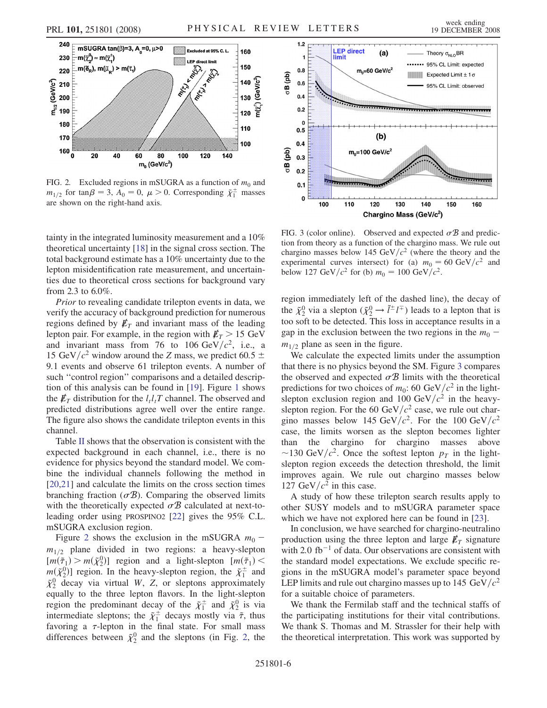

FIG. 2. Excluded regions in mSUGRA as a function of  $m_0$  and  $m_{1/2}$  for tan  $\beta = 3$ ,  $A_0 = 0$ ,  $\mu > 0$ . Corresponding  $\tilde{\chi}_1^{\pm}$  masses are shown on the right-hand axis.

tainty in the integrated luminosity measurement and a 10% theoretical uncertainty [\[18](#page-6-0)] in the signal cross section. The total background estimate has a 10% uncertainty due to the lepton misidentification rate measurement, and uncertainties due to theoretical cross sections for background vary from 2.3 to 6.0%.

Prior to revealing candidate trilepton events in data, we verify the accuracy of background prediction for numerous regions defined by  $E_T$  and invariant mass of the leading lepton pair. For example, in the region with  $E_T > 15$  GeV and invariant mass from 76 to 106 GeV/ $c^2$ , i.e., a 15 GeV/ $c^2$  window around the Z mass, we predict 60.5  $\pm$ 9.1 events and observe 61 trilepton events. A number of such "control region" comparisons and a detailed description of this analysis can be found in [\[19\]](#page-6-0). Figure [1](#page-4-0) shows the  $\not{\!\not\!E}_T$  distribution for the  $l_t l_t T$  channel. The observed and predicted distributions agree well over the entire range. The figure also shows the candidate trilepton events in this channel.

Table [II](#page-4-0) shows that the observation is consistent with the expected background in each channel, i.e., there is no evidence for physics beyond the standard model. We combine the individual channels following the method in [\[20,21\]](#page-6-0) and calculate the limits on the cross section times branching fraction ( $\sigma$ B). Comparing the observed limits with the theoretically expected  $\sigma$ B calculated at next-toleading order using PROSPINO2 [[22](#page-6-0)] gives the 95% C.L. mSUGRA exclusion region.

Figure 2 shows the exclusion in the mSUGRA  $m_0$  –  $m_{1/2}$  plane divided in two regions: a heavy-slepton  $[m(\tilde{\tau}_1) > m(\tilde{\chi}_2^0)]$  region and a light-slepton  $[m(\tilde{\tau}_1) <$  $m(\tilde{\chi}_2^0)$ ] region. In the heavy-slepton region, the  $\tilde{\chi}_1^{\pm}$  and  $\tilde{\chi}_2^0$  decay via virtual W, Z, or sleptons approximately equally to the three lepton flavors. In the light-slepton region the predominant decay of the  $\tilde{\chi}_1^{\pm}$  and  $\tilde{\chi}_2^0$  is via intermediate sleptons; the  $\tilde{\chi}_1^{\pm}$  decays mostly via  $\tilde{\tau}$ , thus favoring a  $\tau$ -lepton in the final state. For small mass differences between  $\tilde{\chi}_2^0$  and the sleptons (in Fig. 2, the



FIG. 3 (color online). Observed and expected  $\sigma \mathcal{B}$  and prediction from theory as a function of the chargino mass. We rule out chargino masses below 145 GeV/ $c^2$  (where the theory and the experimental curves intersect) for (a)  $m_0 = 60 \text{ GeV}/c^2$  and below 127 GeV/ $c^2$  for (b)  $m_0 = 100 \text{ GeV}/c^2$ .

region immediately left of the dashed line), the decay of the  $\tilde{\chi}_2^0$  via a slepton  $(\tilde{\chi}_2^0 \rightarrow \tilde{l}^{\pm} l^{\mp})$  leads to a lepton that is too soft to be detected. This loss in acceptance results in a gap in the exclusion between the two regions in the  $m_0$  –  $m_{1/2}$  plane as seen in the figure.

We calculate the expected limits under the assumption that there is no physics beyond the SM. Figure 3 compares the observed and expected  $\sigma \mathcal{B}$  limits with the theoretical predictions for two choices of  $m_0$ : 60 GeV/ $c^2$  in the lightslepton exclusion region and 100 GeV/ $c^2$  in the heavyslepton region. For the 60 GeV/ $c^2$  case, we rule out chargino masses below 145 GeV/ $c^2$ . For the 100 GeV/ $c^2$ case, the limits worsen as the slepton becomes lighter than the chargino for chargino masses above ~130 GeV/ $c^2$ . Once the softest lepton  $p<sub>T</sub>$  in the lightslepton region exceeds the detection threshold, the limit improves again. We rule out chargino masses below 127 GeV/ $c^2$  in this case.

A study of how these trilepton search results apply to other SUSY models and to mSUGRA parameter space which we have not explored here can be found in [\[23\]](#page-6-0).

In conclusion, we have searched for chargino-neutralino production using the three lepton and large  $E_T$  signature with 2.0 fb<sup>-1</sup> of data. Our observations are consistent with the standard model expectations. We exclude specific regions in the mSUGRA model's parameter space beyond LEP limits and rule out chargino masses up to 145 GeV/ $c^2$ for a suitable choice of parameters.

We thank the Fermilab staff and the technical staffs of the participating institutions for their vital contributions. We thank S. Thomas and M. Strassler for their help with the theoretical interpretation. This work was supported by